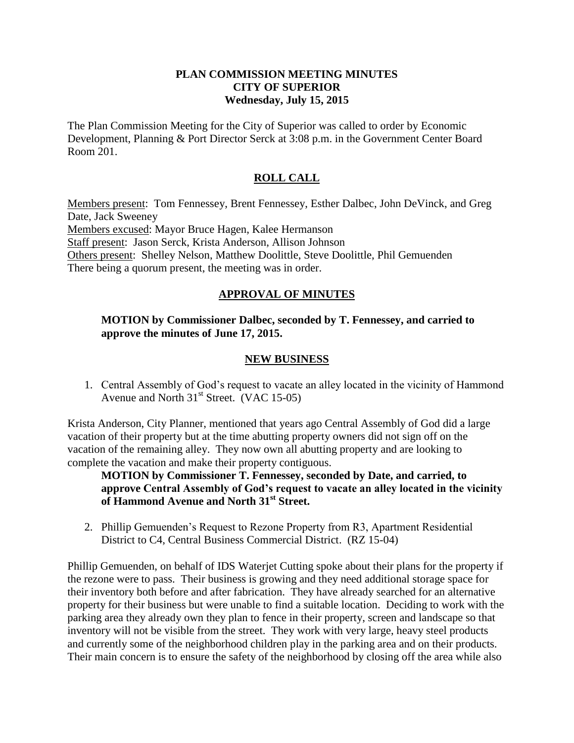#### **PLAN COMMISSION MEETING MINUTES CITY OF SUPERIOR Wednesday, July 15, 2015**

The Plan Commission Meeting for the City of Superior was called to order by Economic Development, Planning & Port Director Serck at 3:08 p.m. in the Government Center Board Room 201.

# **ROLL CALL**

Members present: Tom Fennessey, Brent Fennessey, Esther Dalbec, John DeVinck, and Greg Date, Jack Sweeney Members excused: Mayor Bruce Hagen, Kalee Hermanson Staff present: Jason Serck, Krista Anderson, Allison Johnson Others present: Shelley Nelson, Matthew Doolittle, Steve Doolittle, Phil Gemuenden There being a quorum present, the meeting was in order.

## **APPROVAL OF MINUTES**

### **MOTION by Commissioner Dalbec, seconded by T. Fennessey, and carried to approve the minutes of June 17, 2015.**

### **NEW BUSINESS**

1. Central Assembly of God's request to vacate an alley located in the vicinity of Hammond Avenue and North  $31<sup>st</sup>$  Street. (VAC 15-05)

Krista Anderson, City Planner, mentioned that years ago Central Assembly of God did a large vacation of their property but at the time abutting property owners did not sign off on the vacation of the remaining alley. They now own all abutting property and are looking to complete the vacation and make their property contiguous.

**MOTION by Commissioner T. Fennessey, seconded by Date, and carried, to approve Central Assembly of God's request to vacate an alley located in the vicinity of Hammond Avenue and North 31st Street.**

2. Phillip Gemuenden's Request to Rezone Property from R3, Apartment Residential District to C4, Central Business Commercial District. (RZ 15-04)

Phillip Gemuenden, on behalf of IDS Waterjet Cutting spoke about their plans for the property if the rezone were to pass. Their business is growing and they need additional storage space for their inventory both before and after fabrication. They have already searched for an alternative property for their business but were unable to find a suitable location. Deciding to work with the parking area they already own they plan to fence in their property, screen and landscape so that inventory will not be visible from the street. They work with very large, heavy steel products and currently some of the neighborhood children play in the parking area and on their products. Their main concern is to ensure the safety of the neighborhood by closing off the area while also